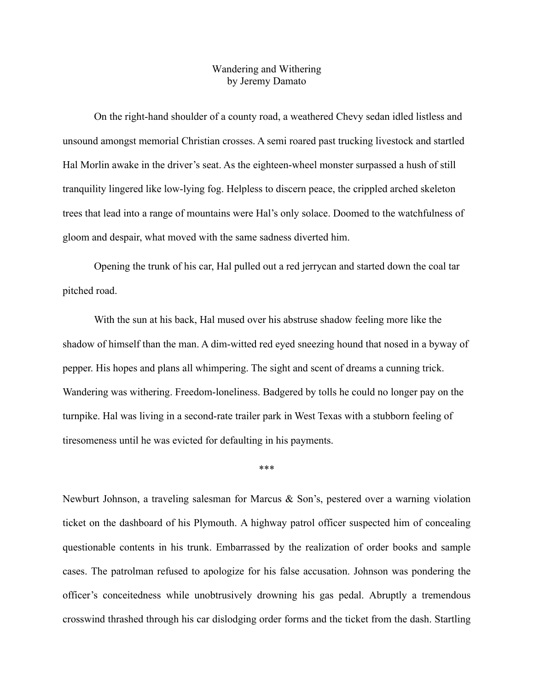## Wandering and Withering by Jeremy Damato

On the right-hand shoulder of a county road, a weathered Chevy sedan idled listless and unsound amongst memorial Christian crosses. A semi roared past trucking livestock and startled Hal Morlin awake in the driver's seat. As the eighteen-wheel monster surpassed a hush of still tranquility lingered like low-lying fog. Helpless to discern peace, the crippled arched skeleton trees that lead into a range of mountains were Hal's only solace. Doomed to the watchfulness of gloom and despair, what moved with the same sadness diverted him.

Opening the trunk of his car, Hal pulled out a red jerrycan and started down the coal tar pitched road.

With the sun at his back, Hal mused over his abstruse shadow feeling more like the shadow of himself than the man. A dim-witted red eyed sneezing hound that nosed in a byway of pepper. His hopes and plans all whimpering. The sight and scent of dreams a cunning trick. Wandering was withering. Freedom-loneliness. Badgered by tolls he could no longer pay on the turnpike. Hal was living in a second-rate trailer park in West Texas with a stubborn feeling of tiresomeness until he was evicted for defaulting in his payments.

\*\*\*

Newburt Johnson, a traveling salesman for Marcus & Son's, pestered over a warning violation ticket on the dashboard of his Plymouth. A highway patrol officer suspected him of concealing questionable contents in his trunk. Embarrassed by the realization of order books and sample cases. The patrolman refused to apologize for his false accusation. Johnson was pondering the officer's conceitedness while unobtrusively drowning his gas pedal. Abruptly a tremendous crosswind thrashed through his car dislodging order forms and the ticket from the dash. Startling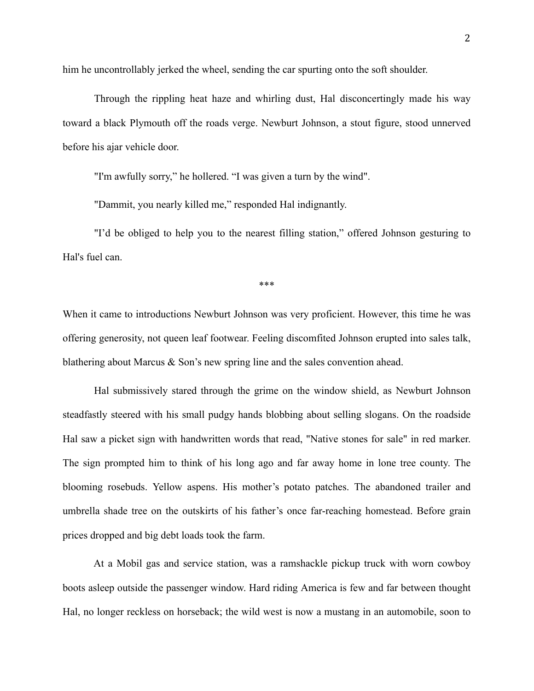him he uncontrollably jerked the wheel, sending the car spurting onto the soft shoulder.

Through the rippling heat haze and whirling dust, Hal disconcertingly made his way toward a black Plymouth off the roads verge. Newburt Johnson, a stout figure, stood unnerved before his ajar vehicle door.

"I'm awfully sorry," he hollered. "I was given a turn by the wind".

"Dammit, you nearly killed me," responded Hal indignantly.

"I'd be obliged to help you to the nearest filling station," offered Johnson gesturing to Hal's fuel can.

\*\*\*

When it came to introductions Newburt Johnson was very proficient. However, this time he was offering generosity, not queen leaf footwear. Feeling discomfited Johnson erupted into sales talk, blathering about Marcus & Son's new spring line and the sales convention ahead.

Hal submissively stared through the grime on the window shield, as Newburt Johnson steadfastly steered with his small pudgy hands blobbing about selling slogans. On the roadside Hal saw a picket sign with handwritten words that read, "Native stones for sale" in red marker. The sign prompted him to think of his long ago and far away home in lone tree county. The blooming rosebuds. Yellow aspens. His mother's potato patches. The abandoned trailer and umbrella shade tree on the outskirts of his father's once far-reaching homestead. Before grain prices dropped and big debt loads took the farm.

At a Mobil gas and service station, was a ramshackle pickup truck with worn cowboy boots asleep outside the passenger window. Hard riding America is few and far between thought Hal, no longer reckless on horseback; the wild west is now a mustang in an automobile, soon to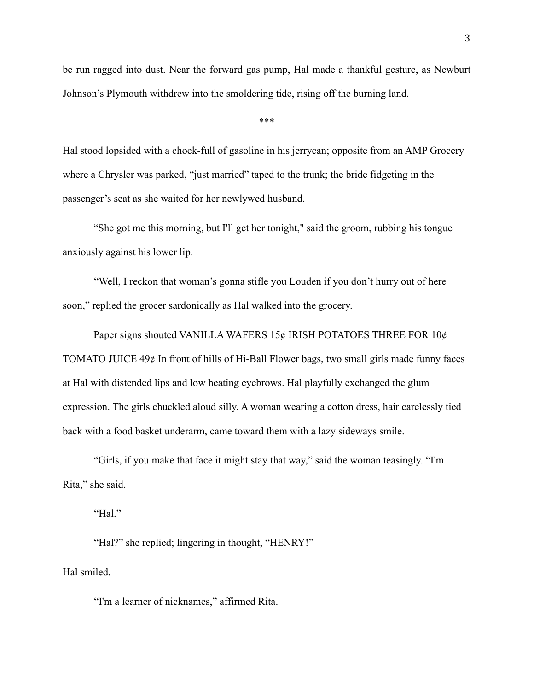be run ragged into dust. Near the forward gas pump, Hal made a thankful gesture, as Newburt Johnson's Plymouth withdrew into the smoldering tide, rising off the burning land.

\*\*\*

Hal stood lopsided with a chock-full of gasoline in his jerrycan; opposite from an AMP Grocery where a Chrysler was parked, "just married" taped to the trunk; the bride fidgeting in the passenger's seat as she waited for her newlywed husband.

"She got me this morning, but I'll get her tonight," said the groom, rubbing his tongue anxiously against his lower lip.

"Well, I reckon that woman's gonna stifle you Louden if you don't hurry out of here soon," replied the grocer sardonically as Hal walked into the grocery.

Paper signs shouted VANILLA WAFERS 15¢ IRISH POTATOES THREE FOR 10¢ TOMATO JUICE 49¢ In front of hills of Hi-Ball Flower bags, two small girls made funny faces at Hal with distended lips and low heating eyebrows. Hal playfully exchanged the glum expression. The girls chuckled aloud silly. A woman wearing a cotton dress, hair carelessly tied back with a food basket underarm, came toward them with a lazy sideways smile.

"Girls, if you make that face it might stay that way," said the woman teasingly. "I'm Rita," she said.

"Hal."

"Hal?" she replied; lingering in thought, "HENRY!"

Hal smiled.

"I'm a learner of nicknames," affirmed Rita.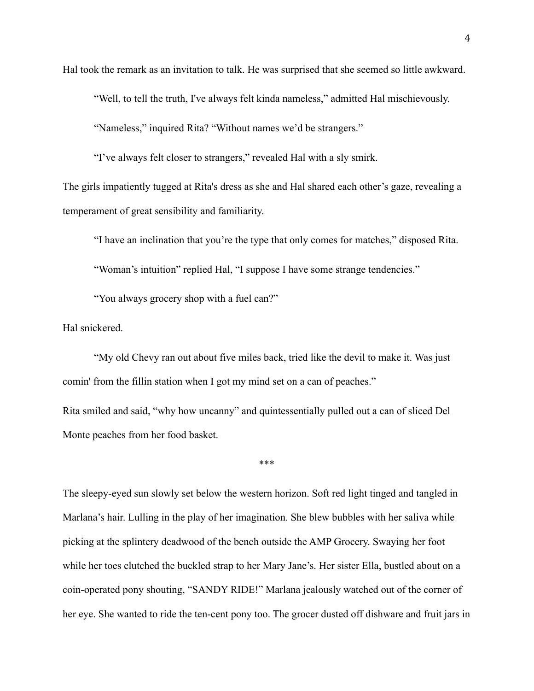Hal took the remark as an invitation to talk. He was surprised that she seemed so little awkward.

"Well, to tell the truth, I've always felt kinda nameless," admitted Hal mischievously.

"Nameless," inquired Rita? "Without names we'd be strangers."

"I've always felt closer to strangers," revealed Hal with a sly smirk.

The girls impatiently tugged at Rita's dress as she and Hal shared each other's gaze, revealing a temperament of great sensibility and familiarity.

"I have an inclination that you're the type that only comes for matches," disposed Rita.

"Woman's intuition" replied Hal, "I suppose I have some strange tendencies."

"You always grocery shop with a fuel can?"

Hal snickered.

"My old Chevy ran out about five miles back, tried like the devil to make it. Was just comin' from the fillin station when I got my mind set on a can of peaches."

Rita smiled and said, "why how uncanny" and quintessentially pulled out a can of sliced Del Monte peaches from her food basket.

\*\*\*

The sleepy-eyed sun slowly set below the western horizon. Soft red light tinged and tangled in Marlana's hair. Lulling in the play of her imagination. She blew bubbles with her saliva while picking at the splintery deadwood of the bench outside the AMP Grocery. Swaying her foot while her toes clutched the buckled strap to her Mary Jane's. Her sister Ella, bustled about on a coin-operated pony shouting, "SANDY RIDE!" Marlana jealously watched out of the corner of her eye. She wanted to ride the ten-cent pony too. The grocer dusted off dishware and fruit jars in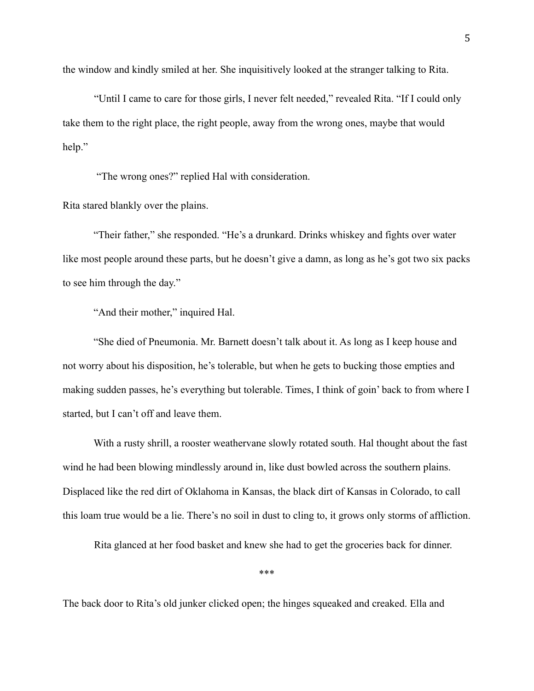the window and kindly smiled at her. She inquisitively looked at the stranger talking to Rita.

"Until I came to care for those girls, I never felt needed," revealed Rita. "If I could only take them to the right place, the right people, away from the wrong ones, maybe that would help."

"The wrong ones?" replied Hal with consideration.

Rita stared blankly over the plains.

"Their father," she responded. "He's a drunkard. Drinks whiskey and fights over water like most people around these parts, but he doesn't give a damn, as long as he's got two six packs to see him through the day."

"And their mother," inquired Hal.

"She died of Pneumonia. Mr. Barnett doesn't talk about it. As long as I keep house and not worry about his disposition, he's tolerable, but when he gets to bucking those empties and making sudden passes, he's everything but tolerable. Times, I think of goin' back to from where I started, but I can't off and leave them.

With a rusty shrill, a rooster weathervane slowly rotated south. Hal thought about the fast wind he had been blowing mindlessly around in, like dust bowled across the southern plains. Displaced like the red dirt of Oklahoma in Kansas, the black dirt of Kansas in Colorado, to call this loam true would be a lie. There's no soil in dust to cling to, it grows only storms of affliction.

Rita glanced at her food basket and knew she had to get the groceries back for dinner.

\*\*\*

The back door to Rita's old junker clicked open; the hinges squeaked and creaked. Ella and